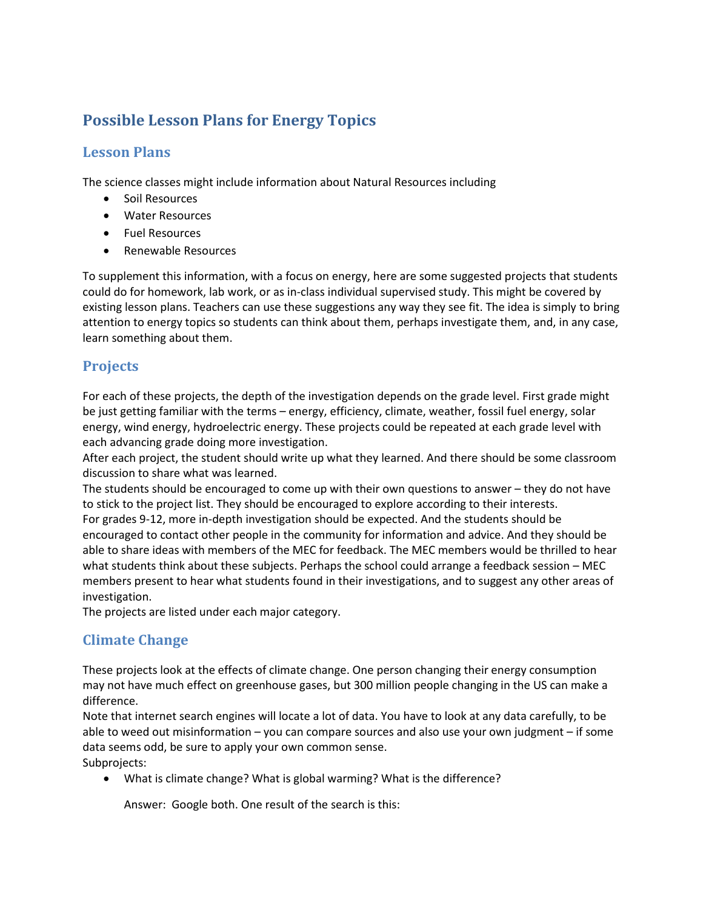# **Possible Lesson Plans for Energy Topics**

#### **Lesson Plans**

The science classes might include information about Natural Resources including

- Soil Resources
- Water Resources
- Fuel Resources
- Renewable Resources

To supplement this information, with a focus on energy, here are some suggested projects that students could do for homework, lab work, or as in-class individual supervised study. This might be covered by existing lesson plans. Teachers can use these suggestions any way they see fit. The idea is simply to bring attention to energy topics so students can think about them, perhaps investigate them, and, in any case, learn something about them.

#### **Projects**

For each of these projects, the depth of the investigation depends on the grade level. First grade might be just getting familiar with the terms – energy, efficiency, climate, weather, fossil fuel energy, solar energy, wind energy, hydroelectric energy. These projects could be repeated at each grade level with each advancing grade doing more investigation.

After each project, the student should write up what they learned. And there should be some classroom discussion to share what was learned.

The students should be encouraged to come up with their own questions to answer – they do not have to stick to the project list. They should be encouraged to explore according to their interests. For grades 9-12, more in-depth investigation should be expected. And the students should be encouraged to contact other people in the community for information and advice. And they should be able to share ideas with members of the MEC for feedback. The MEC members would be thrilled to hear what students think about these subjects. Perhaps the school could arrange a feedback session – MEC members present to hear what students found in their investigations, and to suggest any other areas of investigation.

The projects are listed under each major category.

### **Climate Change**

These projects look at the effects of climate change. One person changing their energy consumption may not have much effect on greenhouse gases, but 300 million people changing in the US can make a difference.

Note that internet search engines will locate a lot of data. You have to look at any data carefully, to be able to weed out misinformation – you can compare sources and also use your own judgment – if some data seems odd, be sure to apply your own common sense. Subprojects:

• What is climate change? What is global warming? What is the difference?

Answer: Google both. One result of the search is this: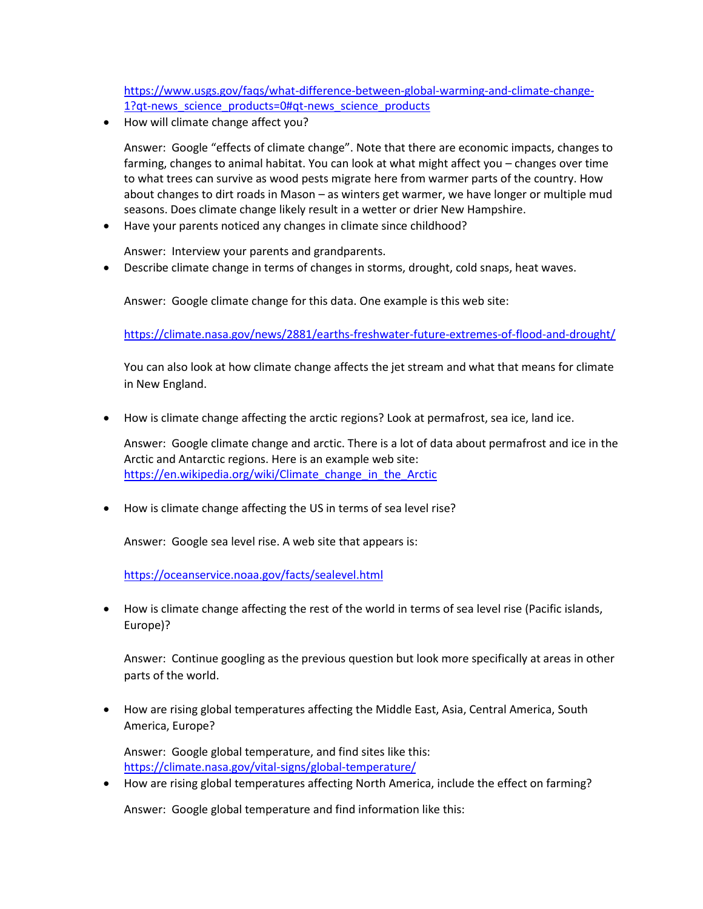[https://www.usgs.gov/faqs/what-difference-between-global-warming-and-climate-change-](about:blank#qt-news_science_products)[1?qt-news\\_science\\_products=0#qt-news\\_science\\_products](about:blank#qt-news_science_products)

• How will climate change affect you?

Answer: Google "effects of climate change". Note that there are economic impacts, changes to farming, changes to animal habitat. You can look at what might affect you – changes over time to what trees can survive as wood pests migrate here from warmer parts of the country. How about changes to dirt roads in Mason – as winters get warmer, we have longer or multiple mud seasons. Does climate change likely result in a wetter or drier New Hampshire.

• Have your parents noticed any changes in climate since childhood?

Answer: Interview your parents and grandparents.

• Describe climate change in terms of changes in storms, drought, cold snaps, heat waves.

Answer: Google climate change for this data. One example is this web site:

[https://climate.nasa.gov/news/2881/earths-freshwater-future-extremes-of-flood-and-drought/](about:blank)

You can also look at how climate change affects the jet stream and what that means for climate in New England.

• How is climate change affecting the arctic regions? Look at permafrost, sea ice, land ice.

Answer: Google climate change and arctic. There is a lot of data about permafrost and ice in the Arctic and Antarctic regions. Here is an example web site: https://en.wikipedia.org/wiki/Climate change in the Arctic

• How is climate change affecting the US in terms of sea level rise?

Answer: Google sea level rise. A web site that appears is:

[https://oceanservice.noaa.gov/facts/sealevel.html](about:blank)

• How is climate change affecting the rest of the world in terms of sea level rise (Pacific islands, Europe)?

Answer: Continue googling as the previous question but look more specifically at areas in other parts of the world.

• How are rising global temperatures affecting the Middle East, Asia, Central America, South America, Europe?

Answer: Google global temperature, and find sites like this: [https://climate.nasa.gov/vital-signs/global-temperature/](about:blank)

• How are rising global temperatures affecting North America, include the effect on farming?

Answer: Google global temperature and find information like this: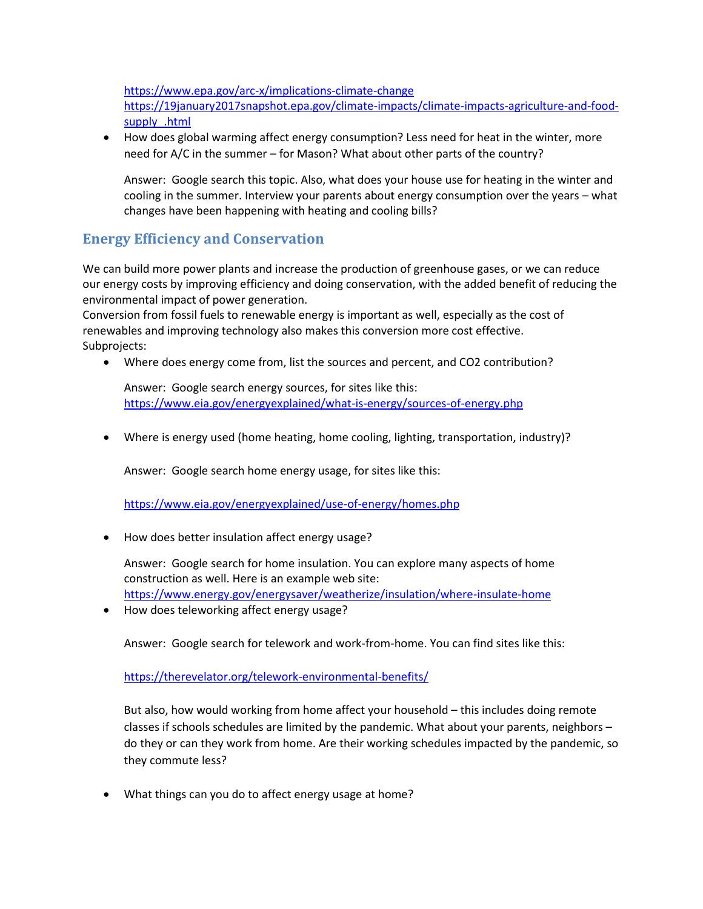[https://www.epa.gov/arc-x/implications-climate-change](about:blank)

[https://19january2017snapshot.epa.gov/climate-impacts/climate-impacts-agriculture-and-food](about:blank)[supply\\_.html](about:blank)

• How does global warming affect energy consumption? Less need for heat in the winter, more need for A/C in the summer – for Mason? What about other parts of the country?

Answer: Google search this topic. Also, what does your house use for heating in the winter and cooling in the summer. Interview your parents about energy consumption over the years – what changes have been happening with heating and cooling bills?

## **Energy Efficiency and Conservation**

We can build more power plants and increase the production of greenhouse gases, or we can reduce our energy costs by improving efficiency and doing conservation, with the added benefit of reducing the environmental impact of power generation.

Conversion from fossil fuels to renewable energy is important as well, especially as the cost of renewables and improving technology also makes this conversion more cost effective. Subprojects:

• Where does energy come from, list the sources and percent, and CO2 contribution?

Answer: Google search energy sources, for sites like this: [https://www.eia.gov/energyexplained/what-is-energy/sources-of-energy.php](about:blank)

• Where is energy used (home heating, home cooling, lighting, transportation, industry)?

Answer: Google search home energy usage, for sites like this:

[https://www.eia.gov/energyexplained/use-of-energy/homes.php](about:blank)

• How does better insulation affect energy usage?

Answer: Google search for home insulation. You can explore many aspects of home construction as well. Here is an example web site: [https://www.energy.gov/energysaver/weatherize/insulation/where-insulate-home](about:blank)

• How does teleworking affect energy usage?

Answer: Google search for telework and work-from-home. You can find sites like this:

[https://therevelator.org/telework-environmental-benefits/](about:blank)

But also, how would working from home affect your household – this includes doing remote classes if schools schedules are limited by the pandemic. What about your parents, neighbors – do they or can they work from home. Are their working schedules impacted by the pandemic, so they commute less?

• What things can you do to affect energy usage at home?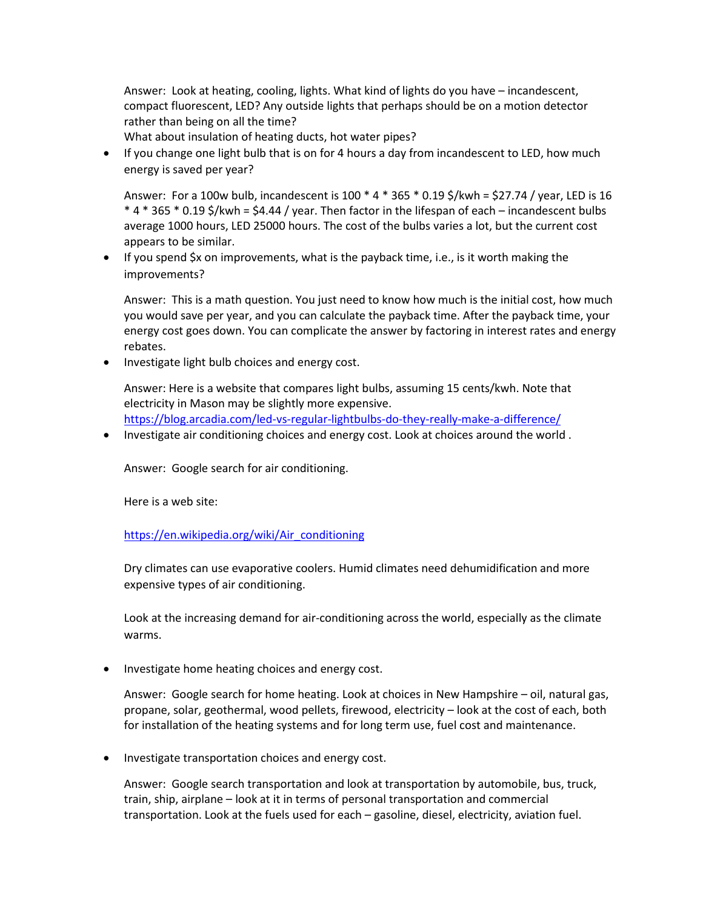Answer: Look at heating, cooling, lights. What kind of lights do you have – incandescent, compact fluorescent, LED? Any outside lights that perhaps should be on a motion detector rather than being on all the time?

What about insulation of heating ducts, hot water pipes?

• If you change one light bulb that is on for 4 hours a day from incandescent to LED, how much energy is saved per year?

Answer: For a 100w bulb, incandescent is 100 \* 4 \* 365 \* 0.19 \$/kwh = \$27.74 / year, LED is 16 \* 4 \* 365 \* 0.19 \$/kwh = \$4.44 / year. Then factor in the lifespan of each – incandescent bulbs average 1000 hours, LED 25000 hours. The cost of the bulbs varies a lot, but the current cost appears to be similar.

• If you spend \$x on improvements, what is the payback time, i.e., is it worth making the improvements?

Answer: This is a math question. You just need to know how much is the initial cost, how much you would save per year, and you can calculate the payback time. After the payback time, your energy cost goes down. You can complicate the answer by factoring in interest rates and energy rebates.

• Investigate light bulb choices and energy cost.

Answer: Here is a website that compares light bulbs, assuming 15 cents/kwh. Note that electricity in Mason may be slightly more expensive. [https://blog.arcadia.com/led-vs-regular-lightbulbs-do-they-really-make-a-difference/](about:blank)

• Investigate air conditioning choices and energy cost. Look at choices around the world .

Answer: Google search for air conditioning.

Here is a web site:

[https://en.wikipedia.org/wiki/Air\\_conditioning](about:blank)

Dry climates can use evaporative coolers. Humid climates need dehumidification and more expensive types of air conditioning.

Look at the increasing demand for air-conditioning across the world, especially as the climate warms.

• Investigate home heating choices and energy cost.

Answer: Google search for home heating. Look at choices in New Hampshire – oil, natural gas, propane, solar, geothermal, wood pellets, firewood, electricity – look at the cost of each, both for installation of the heating systems and for long term use, fuel cost and maintenance.

• Investigate transportation choices and energy cost.

Answer: Google search transportation and look at transportation by automobile, bus, truck, train, ship, airplane – look at it in terms of personal transportation and commercial transportation. Look at the fuels used for each – gasoline, diesel, electricity, aviation fuel.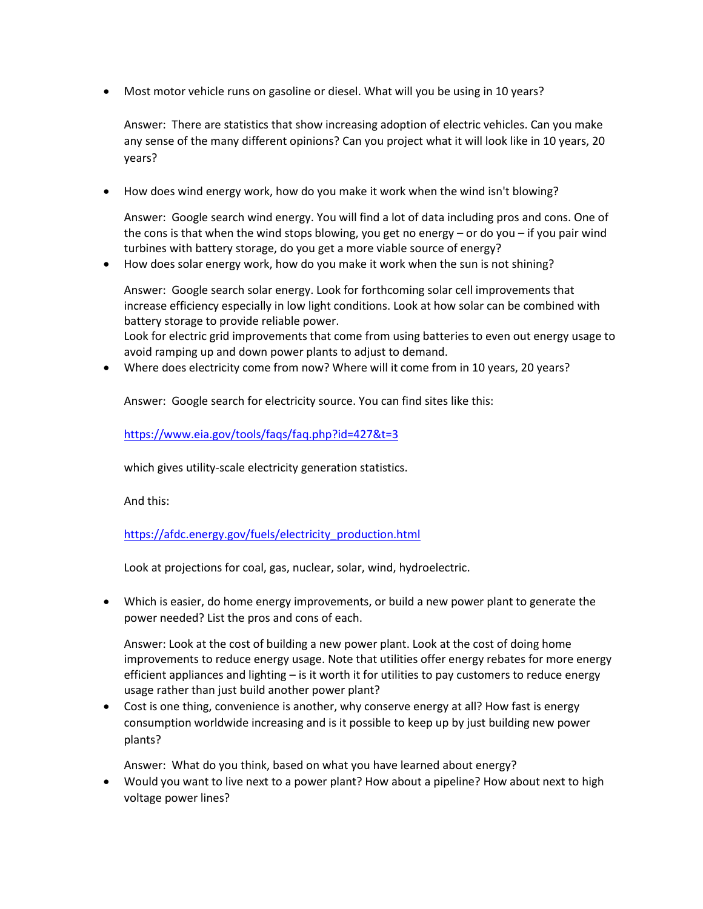• Most motor vehicle runs on gasoline or diesel. What will you be using in 10 years?

Answer: There are statistics that show increasing adoption of electric vehicles. Can you make any sense of the many different opinions? Can you project what it will look like in 10 years, 20 years?

• How does wind energy work, how do you make it work when the wind isn't blowing?

Answer: Google search wind energy. You will find a lot of data including pros and cons. One of the cons is that when the wind stops blowing, you get no energy – or do you – if you pair wind turbines with battery storage, do you get a more viable source of energy?

• How does solar energy work, how do you make it work when the sun is not shining?

Answer: Google search solar energy. Look for forthcoming solar cell improvements that increase efficiency especially in low light conditions. Look at how solar can be combined with battery storage to provide reliable power.

Look for electric grid improvements that come from using batteries to even out energy usage to avoid ramping up and down power plants to adjust to demand.

• Where does electricity come from now? Where will it come from in 10 years, 20 years?

Answer: Google search for electricity source. You can find sites like this:

[https://www.eia.gov/tools/faqs/faq.php?id=427&t=3](about:blank)

which gives utility-scale electricity generation statistics.

And this:

[https://afdc.energy.gov/fuels/electricity\\_production.html](about:blank)

Look at projections for coal, gas, nuclear, solar, wind, hydroelectric.

• Which is easier, do home energy improvements, or build a new power plant to generate the power needed? List the pros and cons of each.

Answer: Look at the cost of building a new power plant. Look at the cost of doing home improvements to reduce energy usage. Note that utilities offer energy rebates for more energy efficient appliances and lighting – is it worth it for utilities to pay customers to reduce energy usage rather than just build another power plant?

• Cost is one thing, convenience is another, why conserve energy at all? How fast is energy consumption worldwide increasing and is it possible to keep up by just building new power plants?

Answer: What do you think, based on what you have learned about energy?

• Would you want to live next to a power plant? How about a pipeline? How about next to high voltage power lines?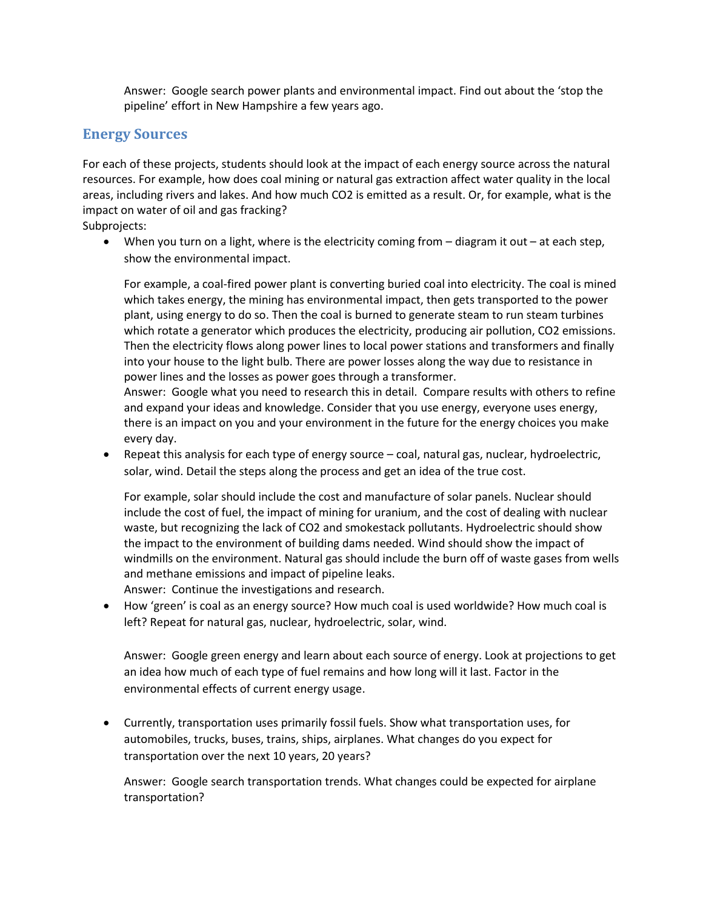Answer: Google search power plants and environmental impact. Find out about the 'stop the pipeline' effort in New Hampshire a few years ago.

### **Energy Sources**

For each of these projects, students should look at the impact of each energy source across the natural resources. For example, how does coal mining or natural gas extraction affect water quality in the local areas, including rivers and lakes. And how much CO2 is emitted as a result. Or, for example, what is the impact on water of oil and gas fracking?

Subprojects:

• When you turn on a light, where is the electricity coming from – diagram it out – at each step, show the environmental impact.

For example, a coal-fired power plant is converting buried coal into electricity. The coal is mined which takes energy, the mining has environmental impact, then gets transported to the power plant, using energy to do so. Then the coal is burned to generate steam to run steam turbines which rotate a generator which produces the electricity, producing air pollution, CO2 emissions. Then the electricity flows along power lines to local power stations and transformers and finally into your house to the light bulb. There are power losses along the way due to resistance in power lines and the losses as power goes through a transformer.

Answer: Google what you need to research this in detail. Compare results with others to refine and expand your ideas and knowledge. Consider that you use energy, everyone uses energy, there is an impact on you and your environment in the future for the energy choices you make every day.

• Repeat this analysis for each type of energy source – coal, natural gas, nuclear, hydroelectric, solar, wind. Detail the steps along the process and get an idea of the true cost.

For example, solar should include the cost and manufacture of solar panels. Nuclear should include the cost of fuel, the impact of mining for uranium, and the cost of dealing with nuclear waste, but recognizing the lack of CO2 and smokestack pollutants. Hydroelectric should show the impact to the environment of building dams needed. Wind should show the impact of windmills on the environment. Natural gas should include the burn off of waste gases from wells and methane emissions and impact of pipeline leaks.

Answer: Continue the investigations and research.

• How 'green' is coal as an energy source? How much coal is used worldwide? How much coal is left? Repeat for natural gas, nuclear, hydroelectric, solar, wind.

Answer: Google green energy and learn about each source of energy. Look at projections to get an idea how much of each type of fuel remains and how long will it last. Factor in the environmental effects of current energy usage.

• Currently, transportation uses primarily fossil fuels. Show what transportation uses, for automobiles, trucks, buses, trains, ships, airplanes. What changes do you expect for transportation over the next 10 years, 20 years?

Answer: Google search transportation trends. What changes could be expected for airplane transportation?